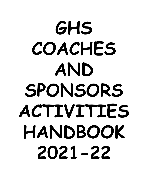# **GHS COACHES AND SPONSORS ACTIVITIES HANDBOOK 2021-22**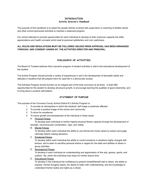### **INTRODUCTION Activity Director's Handbook**

The purpose of this handbook is to assist the people directly involved with supervision or coaching of athletic teams and other school-sponsored activities to maintain a balanced program.

Our school attempts to provide opportunities for each individual to develop to their maximum capacity the skills, appreciations and health concepts which lead to personal satisfaction and civic usefulness.

### **ALL RULES AND REGULATIONS MUST BE FOLLOWED UNLESS PRIOR APPROVAL HAS BEEN ARRANGED THROUGH, AND CONSENT GAINED BY, THE ACTIVITIES DIRECTOR AND PRINCIPAL.**

# **PHILOSOPHY OF ACTIVITIES**

The Board of Trustees believes that a dynamic program of student activities is vital to the educational development of the student

The Activity Program should provide a variety of experiences to aid in the development of favorable habits and attitudes in students that will prepare them for adult life in a democratic society.

The Activities Program should function as an integral part of the total curriculum at all times. It shall offer opportunities for the student to develop all-around growth, to encourage learning the qualities of good citizenship, and to bring about a positive self-esteem.

### **STATEMENT OF PURPOSE**

The purpose of the Converse County School District # 2 Activity Program is:

- 1. To provide an atmosphere in which the students' self image is positively affected.
- 2. To provide a positive image of the school and community.
- 3. To strive for excellence.
- 4. To insure growth and development of the individual in these areas:
	- A. Physical Fitness

To develop each individual to his/her highest physical fitness capacity through the development of strength, neuromuscular coordination, vigor, and vitality.

B. Mental Fitness

To develop within each individual the ability to use ethical and moral values to reason and judge rationally before making decisions.

C. Emotional Fitness

To develop within each individual the ability to control emotions in situations highly charged with tension, and to learn to sacrifice personal whims in regard for the skills and abilities of others in group activities.

D. Recreational Fitness

To develop in each individual an understanding and appreciation of fine arts, games, sports, and outdoor life, which the individual may enjoy for his/her leisure time.

E. Educational Fitness

To develop in the individual the confidence to present himself/herself well to others, the ability to express his/her thoughts clearly, the desire to listen with understanding, and the knowledge to understand his/her duties and rights as a citizen.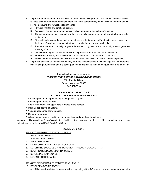- 5. To provide an environment that will allow students to cope with problems and handle situations similar to those encountered under conditions prevailing in the contemporary world. This environment should provide adequate and natural opportunities for:
	- A. Physical, mental, and emotional growth.
	- B. Acquisition and development of special skills in activities of each student's choice.
	- C. The development of such team play values as: loyalty, cooperation, fair play, and other desirable social traits.
	- D. Directed leadership and supervision that stresses self-discipline, self-motivation, excellence, and the ideals of good sportsmanship that make for winning and losing graciously.
	- E. A focus of interests on activity programs for student body, faculty, and community that will generate a feeling of unity.
	- F. Achievement of goals as set by the school in general and the student as an individual.
	- G. Provisions for worthy use of leisure time in life, either as a participant or a spectator.
	- H. Participation that will enable individuals to ascertain possibilities for future vocational pursuits.
- 6. To provide activities so that individuals may learn the responsibilities of this privilege and to understand that violating a rule brings about a consequence and this follows the same sequence in the game of life.

# This high school is a member of the *WYOMING HIGH SCHOOL ACTIVITIES ASSOCIATION* 6571 East 2nd Street Casper, Wyoming 82609 307-577-0614

# **WHSAA GOOD SPORT CODE ALL PARTICIPANTS AND FANS SHOULD:**

- \* Show respect for all opponents by treating them as guests.
- \* Show respect for the officials.
- \* Know, understand, and appreciate the rules of the contest.
- \* Maintain self control at all times.
- \* Applaud opponents' performances.
- \* Cheer for your team.
- \* When you see a good sport in action, follow their lead and then thank them.

As a part of Glenrock High School's continuing effort to achieve excellence in all areas of the educational process we will actively promote the WHSAA Good Sport Code.

### **EMPHASIS LEVELS**

### ITEMS TO BE EMPHASIZED AT ALL LEVELS

- 1. SKILL DEVELOPMENT
- 2. FUN AND ENJOYMENT
- 3. SPORTSMANSHIP
- 4. DEVELOPING A POSITIVE SELF CONCEPT
- 5. DETERMINE SUCCESS BY IMPROVEMENT THROUGH GOAL SETTING
- 6. BEGIN TO BUILD A COMMUNITY CONCEPT
- 7. DEVELOP A TEAM CONCEPT
- 8. LEARN FROM MISTAKES

### ITEMS TO BE EMPHASIZED AT DIFFERENT LEVELS

- 9. DEVELOP A DESIRE TO WIN
	- a. This idea should start to be emphasized beginning at the 7-8 level and should become greater with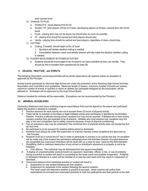each upward level

- 10. CHANCE TO PLAY
	- a. Grades K-6 equal playing time for all
	- b. Grades 7-8 best players will be on A team, developing players on B team, playing time will not be equal
	- c. Frosh playing time may not be equal; but should play as much as possible
	- d. JV playing time should be earned and best players should play
	- e. Varsity playing time should be earned and best players, regardless of class, should play
- 11. CUTTING
	- a. Cutting, if needed, should begin at the JV level
		- 1. Numbers will dictate whether cutting is needed
		- 2. Consultation between coach and athletic director will help make the decision whether cutting is needed
- 12. PLAYER INVOLVEMENT IN OTHER ACTIVITIES
	- a. Students should be encouraged to be involved in as many activities as they can handle. They should do this to broaden their experiences for later life.

# **I. SEASON, PRACTICE, and EVENTS**

The following information concerning activities will be strictly observed by all coaches unless an exception is approved by the Principal.

Activity events sponsored by Glenrock High School are under the jurisdiction of the Wyoming High School Activities Association and must follow such guidelines. Maximum length of season, maximum number of events per season, maximum number of events or quarters in which an athlete can participate designed by the Association, will be adhered to. Schedules will be approved by the local School Board.

Distance traveled for contests will be reasonable, (Exceptions can be recommended by the Principal.)

# **II. GENERAL GUIDELINES**

Cautionary Statement sent home outlining program expectations that must be signed by the parent and participant before the student is allowed to compete.

- 1. Practice sessions for each activity are not to exceed three (3) hours of physical activity.
- 2. There will be no practice on Sundays or legal holidays unless prior permission is granted by the Activities Director. Practice is allowed during school vacations but may not be required. If athletes are in town during vacation practice they are expected to be at practice. Athletes who miss practice over vacations may not play in the next competition due to safety concerns because of lack of physical conditioning.
- 3. Two (2) practices a day may be scheduled if the combined time of physical activity does not exceed the five (5) hour limit.
- 4. No participant is to be excused for practice before school is dismissed.
- 5. Students must always be under the supervision of a faculty member unless exceptions are approved by the Principal.
- 6. Students must be in school the 6/7 day in order to participate in practice or an activity that day. An exception will be made only if the student has permission beforehand from the Activities Director. Excused absences are acceptable but unexcused Infractions will be dealt with on a case by case basis by the Administration.
- 7. Shoplifting, theft or malicious destruction of any school or individual's equipment or property is not to be tolerated.
	- a. First offense: The individual may be dismissed from the squad immediately.
- 8. A display of unsportsmanlike conduct toward an opponent, teammate, official, or fan, or use of profanity during a practice or contest will result in counseling by the head coach and possible suspension. Profanity or disrespect directed at a coach will be handled on a case-by-case basis and may result in suspension or dismissal.
- 9. Unexcused absence from scheduled practice or contest will result in:
	- a. Suspension for one contest following the first violation.
	- b. Suspension for remainder of the season following the second violation. The head coach will determine whether a practice is excused. Head coaches will outline their expectations for excused and unexcused practices to both the participants and their parents at the start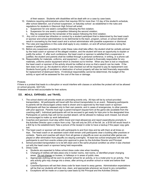of their season. Students with disabilities will be dealt with on a case by case basis.

- 10. Violations requiring administrative action that requires ISS for more than 1/2 day of the student's schedule, after school detention, out of school suspension, or Saturday school as established in the rules and regulations for students in Glenrock High School will entail:
	- a. Suspension for one week's competition following the first violation;
	- b. Suspension for one week's competition following the second violation;
	- c. May be suspended for the remainder of the season following the third violation.
- 11. Any civil or criminal law infraction or conduct by a student participant that is determined by the head coach or sponsor and school administration to be detrimental to the team, program, school, or school district will result in counseling by the head coach and a school administrator with possible suspension or dismissal.
- 12. The rules and regulations in this code shall apply to any violation, on and off school premises during the season of participation.
- 13. Before any suspension provided for under these rules shall take effect, the student shall be verbally advised by the head coach or sponsor of the alleged violation, and the student will have an opportunity to explain or justify the action. If, after such conference, the head coach or sponsor is satisfied that a suspension is justified, the student and parents shall be notified through a personal conference, in writing, or a phone call.
- 14. Responsibility for materials, uniforms, and equipment Each student is financially responsible for any materials, uniforms and/or equipment which is checked out to him/her. When any item is lost or misplaced, the head coach or sponsor of the activity should be notified at once so that a search can be made. If the item does not turn up, the student to whom it was checked out will be required to pay its replacement cost. Students found guilty of vandalism or destruction of school property will also be held financially responsible for replacement of destroyed items. If individual responsibility cannot be determined, the budget of the activity or sport will be assessed for the cost of the loss or damage.

### Protests

If there is a protest that leads to a disruption or would interfere with classes or activities the protest will not be allowed on school grounds. 32211(A)

Protesters will be held accountable for their actions.

### **III. MEALS, EXPENSES, and TRAVEL**

- 1. The school district will provide meals at culminating events only. All trips will be by school-provided transportation. All participants will travel with the school transportation to an event. Releasing participants to parents will be discouraged unless need is shown and is approved by the head coach or sponsor. Participants will then be released only to their own parents, and in cases of emergencies, to other parents with prior approval. Parents must sign a parent transport request form at the game site (available from the coaching staff.) Individual participants will not be excused to get ready for trips prior to the designated time. Participants on activity trips will not be counted absent, will be allowed to makeup work missed, but should be encouraged to make up work beforehand.
- 2. Coaches and sponsors must stay within travel and meal allowances and report expenditures promptly to the Activities Director upon a return from a trip. Tips will only be 20% of the bill. (ie. a \$150 bill would result in a \$30 tip to the establishment) Take a picture of the receipt in order to have a backup if the paper copy gets lost.
- 3. The head coach or sponsor will ride with participants to and from trips and be with them at all times on trips. The head coach or an assistant coach shall remain until participants clear a building after practices or contests. Teams and coaches will return from all games or playoffs as soon as practical after games are played or after elimination from playoffs (no staying overnight). At least two school employees will ride with participants to and from events unless prior approval is given by the Activities Director and Principal.
- 4. School-provided transportation is to be left clean and in the same physical condition as when it was checked out with the head coach or sponsor being held responsible.
- 5. Dress Code:
	- a. Students are expected to follow school dress code rules when traveling
	- b. Changing of clothes will take place only in locker rooms, rest rooms, or identified proper changing areas. Do not change on busses, in hallways or in areas of public view.
	- c. Appropriate clothing will be worn to another school for an activity, or to a motel prior to an activity. Fine arts activity girls may change into a dress, after arriving at another school or motel and before their activity.
	- d. Coaches/Sponsors will set their dress code for team travel to away games. Administration expectations will be that our students will look nice, clean, and appropriate whenever we travel to any competition.
	- e. Exceptions will be made on a case-by-case basis by the Principal and the Activities Director.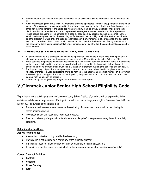- 6. When a student qualifies for a national convention for an activity the School District will not help finance the trip.
- 7. Additional Passengers on Bus Trips: All members of school sponsored teams or groups that are traveling to an out of town competition are expected to ride school district transportation. Additional fans, boosters, and other non insured personnel are not to ride with any activity team or group. Situations may dictate that district administration and/or additional chaperones/passengers may need to ride school transportation. These special situations will be handled on a case by case basis by approved school personnel. School administration emphasizes that the coaching staff's foremost responsibility on all trips are the participants and the program in which they are hired to coach/sponsor. Family members of our coaches and sponsors are not to ride school district transportation to an event but may ride the bus home. Family members that are serving the team as managers, statisticians, filmers, etc. will be afforded the same benefits as any other team member.

# **IV. TRAINING RULES, PHYSICAL EXAMINATIONS, PHYSICIANS CARE**

- 1. All athletes must have a physical examination by a physician. No athlete may practice or compete until a physical examination form for the current school year (after May lst) is on file in the Activities Office.
- 2. Head coaches or sponsors may write specific training rules, rules of behavior, and other items that pertain to an individual activity and the students involved, which will be added to the basic activity handbook. All athletes and their parent/guardian must sign a Cautionary Statement outlining the specifics of each activity.
- 3. Participants may not practice or compete when under a doctor's care unless the doctor gives a written release. Parents of injured participants are to be notified of the nature and extent of injuries. In the event of a serious injury, during practice or actual participation, the participant should be taken to a doctor and the parents notified as soon as possible.
- 4. Students may not be given any drug or medicine by a coach or sponsor.

# **V.Glenrock Junior Senior High School Eligibility Code**

To participate in the activity programs in Converse County School District #2, students will be expected to follow certain expectations and requirements. Participation in activities is a privilege, not a right in Converse County School District #2. The purpose of these rules is to:

- Promote a healthy environment to ensure the wellbeing of students who are or will be participating in extracurricular activities;
- Give students positive reasons to resist peer pressure;
- Ensure consistency of expectations for students and discipline/consequences among the various activity programs.

# **Definitions for this Code:**

# **Activity is defined as:**

- An event or contest occurring outside the classroom;
- Participation is not required as a part of any of the student's classes;
- Participation does not affect the grade of the student in any of his/her classes; and
- If questions arise, the student's principal will be the sole determiner of what qualifies as an "activity".

# **Current Glenrock Activities:**

- **● Football**
- **● Volleyball**
- **● Cross Country**
- **● Golf**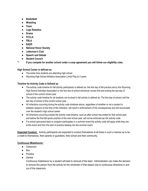- **● Basketball**
- **● Wrestling**
- **● Track**
- **● Lego Robotics**
- **● Drama**
- **● FCCLA**
- **● FBLA**
- **● SADD**
- **● National Honor Society**
- **● Letterman's Club**
- **● Speech and Debate**
- **● Student Council**
- **\*\* If you compete for another school under a coop agreement you will follow our eligibility rules.**

# **High School Career is defined as:**

- The entire time students are attending high school.
- Wyoming High School Athletics Association Limits Play to 4 years.

# **Timeline for Activity Code is Defined as**:

- The activity code timeline for fall activity participants is defined as: the first day of fall practice set by the Wyoming High School Activities Association or the first day of school whichever comes first and ending the last day of school of the current school year.
- The activity code timeline for all students not involved in fall activity is defined as: The first day of school until the last day of school of the current school year.
- All infractions occurring during the activity code timelines above, regardless of whether or not a student is between seasons at the time of the infraction, will result in enforcement of the consequences and will accumulate over the student's high school career.
- All infractions occurring outside the activity code timeline, such as after school has ended for that school year, and before the first fall sports practice of the next school year, will not be enforced per the activity code.
- If a school sponsored team or program participates in a summer event the activity code will apply while they are at the event and from the start of practice leading into the summer event.

**Expected Conduct:** Activity participants are expected to conduct themselves at all times in such a manner as to be a credit to themselves, their parents or guardians, their school and their community.

# **Continuous Misbehavior:**

- Classroom
- Bus
- Practice
- Games

Continuous misbehavior by a student will lead to removal of the team. Administration can make the decision to remove this person from the activity for the remainder of that season due to continuous infractions in and out of the classroom.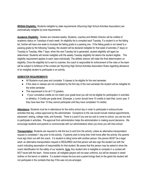**WHSAA Eligibility:** Students ineligible by state requirements (Wyoming High School Activities Association) are automatically ineligible by local requirements.

**Academic Eligibility:** Grades are checked weekly. Students, coaches and Athletic Director will be notified of academic status on Tuesdays of each week. An eligibility list is compiled each Tuesday. If a student is on the failing list, he/she will have one week to increase the failing grade to a passing one. If the failing grade is not raised to a passing grade by the following Tuesday, the student will be declared ineligible for that week of activities (7 days) or Tuesday to Tuesday. After 7 days, when the next Tuesday list is generated, student eligibility will again be determined. Students will remain ineligible until the weekly Tuesday eligibility list deems the student eligible. This eligibility requirement applies to each class individually. The athletic director will make the final determination on eligibility. Once the eligibility list is sent to coaches, the coach is responsible for enforcement of the rules or the team will be subject to forfeiture of the contest per Wyoming High School Activities Association Rules regarding allowance of an ineligible student to participate in an activity.

# **SEMESTER REQUIREMENTS**:

- All Students must pass and complete 5 classes to be eligible for the next semester.
- If the class or classes are not completed by the first day of the next semester the student will be ineligible for the entire semester.
- This requirement is for all 7-12 graders.
- If your cumulative credits do not match your grade level you will not be eligible for participation in activities or athletics. 5 Credits per grade level. (Example, a Junior should have 10 credits to start their Junior year. If they have less than 10 they cannot participate until they have completed 10 credits)

**Attendance**: Students must be in attendance for the entire school day in order to participate in extracurricular activities that day, unless approved by the administrator. Exceptions to the rule would include medical appointments, placement testing, college visits, and funerals. There is a point if you are too sick to come to school, you are too sick to participate in activities. Pre-approval from administration helps the administration in making sound decisions. We encourage students and parents to communicate with our administrators when you know you will miss school.

**Transportation**: Students are required to ride the bus to and from the activity, unless an alternative transportation request is completed 1 day prior to the activity. If parents wish to bring their child home after the activity, the parents must sign them out with the coach. If a student is riding home with another person- this person MUST be a legal adult- an alternative transportation request is REQUIRED and that person will also sign the student out with the coach indicating assumption of responsibility for that student. Be aware that this person may be asked to show the coach identification for the safety of our students. Note: Any student who is ineligible to compete in a contest will NOT travel with the team. Home events- all ineligible players will not wear uniforms, but will be dressed in street clothes on the bench or sideline. If a student misses the bus and a parent brings them to the game the student will not participate in the contests that day if this was not pre-arranged.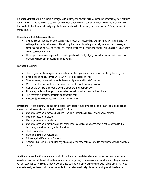**Felonious Infraction:** If a student is charged with a felony, the student will be suspended immediately from activities for an indefinite time period while school administration determines the course of action to be used in dealing with that student. If a student is found guilty of a felony, he/she will automatically incur a minimum 365-day suspension from activities.

# **Honesty and Self-Admission Clause:**

- Self-admission includes a student contacting a coach or school official within 48 hours of the infraction to self-report. Acceptable forms of notification by the student include: phone call, voicemail, text message, or email to a school official. If a student self-admits within the 48 hours, the student will be eligible to participate in our "buyback program".
- Honesty- Students are expected to answer questions honestly. Lying to a school administration or a staff member will result in an additional game penalty.

# **Buyback Program:**

- This program will be designed for students to buy back games or contests for completing the program.
- $\bullet$  8 hours of community service will result in  $\frac{1}{2}$  of the suspension lifted.
- The community service will be worked on school grounds with a staff member.
- Work must be acceptable or time does not count per supervisor.
- Schedule will be approved by the cooperating supervisor.
- Unacceptable or inappropriate behavior will void all buyback options.
- This program is designed for first time offenders only.
- Buyback % will be rounded to the nearest whole game.

**Infractions** – A participant will be subject to disciplinary action if during the course of the participant's high school career, he or she commits any of the following infractions:

- Use or possession of tobacco (includes Electronic Cigarettes (E-Cigs) and/or Vapor devices)
- Use or possession of alcohol
- Use or possession of inhalants
- Use or possession of marijuana or any other illegal, controlled substance, that is not prescribed to the individual, as defined by Wyoming State Law
- Theft or vandalism
- Fighting, Bullying, or Harassment
- Crimes Against Persons or Property
- A student that is in ISS during the day of a competition may not be allowed to participate per administration decision.

**Additional Infraction Consideration**: In addition to the infractions listed above, each coach/sponsor may have activity specific expectations that will be reviewed at the beginning of each activity season for which the participants will be responsible. Additionally, lack of overall classroom performance, expected behavior, effort, and/or failing to complete assigned tasks could cause the student to be determined ineligible by the building administration. A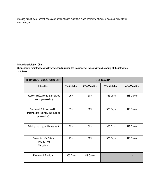meeting with student, parent, coach and administration must take place before the student is deemed ineligible for such reasons.

# **Infraction/Violation Chart:**

**Suspensions for infractions will vary depending upon the frequency of the activity and severity of the infraction as follows:**

| <b>INFRACTION / VIOLATION CHART</b>                                               | % OF SEASON       |                   |                   |                   |
|-----------------------------------------------------------------------------------|-------------------|-------------------|-------------------|-------------------|
| <b>Infraction</b>                                                                 | $1st$ – Violation | $2nd$ – Violation | $3rd$ – Violation | $4th$ – Violation |
| Tobacco, THC, Alcohol & Inhalants<br>(use or possession)                          | 25%               | 50%               | 365 Days          | <b>HS Career</b>  |
| Controlled Substance - Not<br>prescribed to the individual (use or<br>possession) | 35%               | 60%               | 365 Days          | <b>HS Career</b>  |
| Bullying, Hazing, or Harassment                                                   | 25%               | 50%               | 365 Days          | <b>HS Career</b>  |
| Conviction of a Crime<br><b>Property Theft</b><br>Vandalism                       | 25%               | 50%               | 365 Days          | <b>HS Career</b>  |
| Felonious Infractions                                                             | 365 Days          | <b>HS Career</b>  |                   |                   |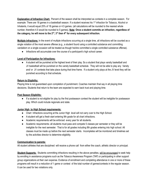**Explanation of Infraction Chart:** Percent of the season shall be interpreted as contests in a complete season. For example: There are 18 games in a basketball season. If a student receives his 1<sup>st</sup> infraction for Tobacco, Alcohol or Inhalants, it would equal 25% of 18 games or 4.5 games. (all calculations will be rounded to the nearest whole number, therefore 4.5 would be rounded to 5 games). **Note: Once a student commits an infraction, regardless of**  $\tan \theta$  **the category, he** will move to the 2<sup>nd</sup>, 3<sup>rd</sup> then 4<sup>th</sup> for every subsequent infraction.

**Multiple Infractions:** In the event of multiple infractions occurring at a single time, all infractions will be counted as a single violation of the most severe offense (e.g., a student found using a controlled substance and committing vandalism on a single occasion will be treated as though he/she committed a single controlled substance offense).

● Infractions will accumulate over the course of a participant's high school career.

# **Level of Participation for Infractions:**

● A student will be punished at the highest level of their play. So a student that plays varsity basketball and JV basketball will be punished on the varsity basketball schedule. They will not be able to play any Varsity and/ or JV contests that take place during that time frame. If a student only plays at the JV level they will be punished according to that schedule.

# **Return to Eligibility:**

Playing time is not guaranteed upon completion of punishment. Coaches maintain final say in all playing time decisions. Students that return to the team are expected to earn back trust and playing time.

# **Post Season Eligibility:**

● If a student is not eligible for play by the first postseason contest the student will be ineligible for postseason play. Which could include regionals and state.

# **Junior High to High School requirements:**

- Chart Infractions occurring at the Junior High level will not carry over to the High School.
- A student will get a fresh start entering 9th grade for all chart infractions.
- Academic requirements will be enforced every year for all students.
- Academic requirements- all students must pass and compete 5 classes per semester or they will be ineligible for the next semester. That is for all grades including 8th grades entering into high school. All classes must be made up before the next semester starts. Incompletes will be monitored and timelines set by the activities director to determine eligibility.

# **Communication to parents:**

All student athletes that are disciplined will receive a phone call from either the coach, athletic director or principal.

**Student Supports:** Students committing infractions resulting in the above penalties, will be encouraged to seek help by enrolling in assistance programs such as the Tobacco Awareness Program (TAP) or participating in other support group organizations at their own expense. Evidence of enrollment and completing attendance in one or more of these programs will result in a reduction of 1 game or contest of the total number of games/contests in the regular season. It can be used for two violations only.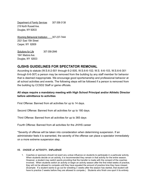Department of Family Services 307-358-3138 219 North Russell Ave. Douglas, WY 82633

Wyoming Behavioral Institution 307-237-7444 2521 East 15th Street Casper, WY 82609

Solutions for Life 307-358-2846 1841 Madora Ave. Douglas, WY 82633

# **GJSHS GUIDELINES FOR SPECTATOR REMOVAL**

According to statute (W.S.6-2-501 through 6-2-505, W.S.6-6-102; W.S. 6-6-103, W.S.6-6-301 through 6-6-307) a person may be removed from the building by any staff member for behavior that is deemed inappropriate. We encourage good sportsmanship and professional behavior at all school activities and events. The following steps will be followed if a person is removed from the building by CCSD2 Staff or game officials.

# **All steps require a mandatory meeting with High School Principal and/or Athletic Director before admittance to activities**

First Offense: Banned from all activities for up to 14 days.

Second Offense: Banned from all activities for up to 180 days.

Third Offense: Banned from all activities for up to 365 days

Fourth Offense: Banned from all activities for the JH/HS career

\*Severity of offense will be taken into consideration when determining suspension. If an administrator feels it is warranted, the severity of the offense can place a spectator immediately on a more extreme suspension step.

# **VI. CHOICE of ACTIVITY, INFLUENCE**

1. Coaches or sponsors should not exert any undue influence on students to participate in a particular activity. When students decide on an activity, it is recommended they remain in that activity for the entire season. However, a student may switch sports providing that the transfer is made with the consent of the coaches involved. When students switch an activity or begin an activity season after the first initial weeks of practice, they will not be allowed to compete until they have equaled the amount of practice time they have missed. (Example: If a student wants to go out for wrestling 3 weeks after the season has started, that student will have to practice 3 weeks before they are allowed to compete.) Students who finish one sport it its entirety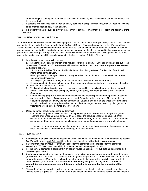and then begin a subsequent sport will be dealt with on a case by case basis by the sport's head coach and the administration.

- 2. If students are dismissed from a sport or activity because of disciplinary reasons, they will not be allowed to enter another sport or activity that season.
- 3. If a student voluntarily quits an activity, they cannot rejoin that team without the consent and approval of the head coach.

### **VII. SUPERVISION and DIRECTION**

Supervision and direction of the athletic/activity program shall be vested in the Principal through the Activities Director and subject to review by the Superintendent and the School Board. Rules and regulations of the Wyoming High School Activities Association shall be adhered to and shall be used as minimum standards for Glenrock. Coaches and sponsors are required to attend all meetings, practices, games, meets, etc., scheduled in their assignment unless prior approval is arranged through the Activities Director with notification to the Principal. Exceptions can be made concerning family or personal illnesses by contacting the head coach or Activities Director.

1. Coaches/Sponsors responsibilities are:

a. Monitoring participant's behavior. This includes locker room behavior until all participants are out of the locker room. Sitting in an office (even one with windows and the door open) is not adequate observation of participants behavior.

- b. Informing the Activities Director of all incidents and disciplinary actions. The Activities Director will inform other administration.
- c. Give input to the ordering of uniforms, training supplies, and equipment. Maintaining inventories of equipment and facilities.
- d. Following all guidelines in their job description in this Code and School Board Policy.

e. Encouraging their students to have good attendance, do well academically and show respect for other students and staff members at all times.

- f. Verifying that all participation forms are complete and on file in the office before the first scheduled event. These forms include: exemplary conduct, emergency treatment, physicals and Cautionary Statements.
- g. Communicating program information and expectations to all participants and their parents. Coaches may use various forms of communication to relay information to their students. All communication should be appropriate, timely, and non-threatening. Students and parents are urged to communicate with all coaches in an appropriate verbal manner. Text messages that are harassing, derogatory, or threatening will be turned over to law enforcement.
- 2. Opposite gender coaching/sponsoring a team/club:

Converse County School District #2 realizes a potential problem when there is an opposite gender coaching or sponsoring a club or team. In most cases the coach/sponsor will announce his/her entrance into a motel/hotel room, bathroom, etc. before entering an opposite gender's area. After the announcement has been made the coach/sponsor may enter if no objections are given by students.

In the case of an emergency, the coach/sponsor may enter immediately to answer the emergency. We hope this does not cause any undue hardship, but it must be done.

### **VIII. ELIGIBILITY**

- 1. A participant in an activity must be passing six (6) solid subjects. At the semester a student must be passing five (5) solid subjects **with full credit** in order to participate in activities the following semester.
- 2. Students that pass only four (4) or fewer classes for the semester will be ineligible for the semester according to WHSAA rules. Ineligibility for a semester includes competition only.
- 3. For the current semester, a participant in an activity must be passing six (6) subjects as determined by a weekly eligibility check.
- 4. Students are expected to be passing all classes. For eligibility purposes, any student with more than one grade below a "C" will have a probationary week to get his/her grades up. If the student still has more than one grade below a "C" when the next grade check is done, that student will be ineligible to play in that week's contest (Wed to Wed). **If a student is academically ineligible for any three (3) weeks of competition during a season, they will become ineligible to compete for the remainder of that season.**
- 5. The grade of incomplete will allow the student two weeks to complete the outcome, standard or classroom work to achieve a grade of "C" or better. If there are reasons beyond the student's control and two weeks is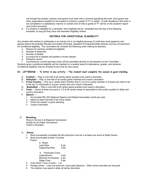not enough the student, teacher and parent must enter into a contract specifying the work, time period and other expectations needed for the student to achieve a grade of "C" or better. In both situations if the work is not completed in a satisfactory manner in content and on time a grade of "F" will be on the student's report card and/or transcript.

6. If a student is ineligible for a semester, their eligibility will be reinstated the first day of the following semester, as long as they have met semester eligibility criteria.

# **CRITERIA FOR CONDITIONAL ELIGIBILITY**

Any student who wishes to participate in an activity but is not eligible because of credit loss must appeal to and appear before the Activities Review Committee (Principal, Assistant Principal/Activities Director and two (2) teachers) for conditional eligibility. The committee will consider the following when making its decision:

- a. Reason for wanting conditional eligibility
- b. Number of absences
- c. Number of tardies
- d. A current list of classes and grades in those classes
- e. Discipline record
- f. Comments by current teachers which will be submitted directly by the teachers to the Committee

Students given conditional eligibility will be checked on a weekly basis for attendance, grades, and behavior. Conditional eligibility may be revoked at any time for due cause.

### **IX. LETTERING - To letter in any activity - The student must complete the season in good standing.**

- A. **Football** Play in one-half of all varsity game quarters and coach's discretion.
- B. **Volleyball** Play in one-half of all varsity game matches and coach's discretion.
- C. **Cross Country** Run as a varsity team member (top 5; run as a varsity member in at least one meet or be in the top 10 individuals in a junior varsity race and coach's discretion.
- D. **Basketball** Play in one-half of all varsity game quarters and coach's discretion.
- E. **Track** Score at least one point in 1/3 of all varsity meets or equivalent to this and/or qualify for State and coach's discretion.
- F. **Speech**
	- 1. Accumulate fifty (50) National Speech and Debate Association points per year
	- 2. Attend at least one-half of all of the meets
	- 3. Finish the season in good standing
	- 4. Coach's discretion

### G. **Wrestling**

Place in the top 6 at Regional Tournament Qualify for the State Tournament Coach's discretion

### H. **Drama**

- 1. Must successfully complete the fall production and be in at least one event at State Drama.
- 2. Must accumulate at least 12 points.
	- Points:

| a. Roles:       |       |
|-----------------|-------|
| Lead Role       | 5 pts |
| Supporting Role | 3 pts |

b. Production Crew Lights/Sound 5 pts Musician for Musical 5 pts Stage Crew 5 pts

- 3. Crew Work 1 hour of work 1 pt
- 4. Penalty points Lose one point per unexcused absence. Other school activities are excused
- 5. The director may award a letter at his/her discretion.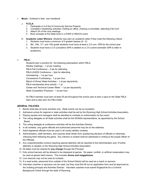I. **Music -** Outlined in their own handbook

### J. **FCCLA**

- 1. Participate in 6 of the 9 Community Service Projects
- 2. Complete 4 leadership activities: holding an office, chairing a committee, attending Fall Conf.
- 3. Attend 3/4 of the club meetings
- 4. Must compete at the State level in a STAR or REACH event
- K. **Academic Letter Winners** -Students may earn an academic letter if they meet the following criteria:
	- 1. Students must have a minimum of 5 graded classes (A C)
	- 2. 9th, 10th, 11<sup>th</sup>, and 12th grade students must have at least a 3.5 cum. GPA for the school year
	- 3. Students must have a 3.0 cumulative GPA in addition to a 3.5 current semester GPA to letter in academics.

### L. **FBLA :**

Students earn a point(s) for the following participation within FBLA: Weekly meetings – 1 pt per meeting FBLA Fall Conference – 3 pts for attending FBLA LEADS Conference – 3pts for attending Volunteering – 1 pt per hour Concessions Fundraising – 1 pt per hour March of Dimes Week Activities – 1 pt per day/activity FBLA membership drive activity  $-1$  pt Career and Technical Career Week – 1 pt per day/activity State Competition Practices – 1 pt per hour

An FBLA member must earn at least 25 pts throughout the school year to earn a spot on the State FBLA team and to also earn the FBLA letter.

# **GENERAL POLICIES**

- 1. Bands shall play at home activities only. State events can be an exception
- 2. Admission prices for regional or state activities shall be set by the Wyoming High School Activities Association.
- 3. Playing squads and managers shall be admitted to contests on authorization by the coach.
- 4. The voting delegate on all State activities shall be the WHSAA representative, as appointed by the School Board.
- 5. The voting delegate at conference activities will be the Activities Director.
- 6. In all contests, only game officials and authorized personnel may be on the sidelines.
- 7. Adult registered officials must be used in all varsity athletic contests.
- 8. Administrators, staff members, and coaches shall refrain from questioning decision of officials or otherwise criticizing them following the game. Any criticism or protest shall be addressed in writing to the proper officer of the Officials.
- 9. Any unsportsmanlike conduct requiring special attention will be reported to the Administration and, if further attention is needed, to the Wyoming High School Activities Association.
- 10. All dates must be cleared for **any change** through the Principal.
- 11. Only school banners will be allowed to be displayed at games. No paper, confetti, or artificial noisemakers may be used at games held indoors. This includes **drums and megaphones.**
- 12. Live mascots may not be used at contests. .
- 13. If a need exists, personnel from outside of the School District will be used as a coach or sponsor.
- 14. Volunteer coaches or sponsors can be used, but they must first fill out an application form and be approved by the building principal and Activities Director. Volunteer coaches must submit fingerprints for a Criminal Background Check through the state of Wyoming.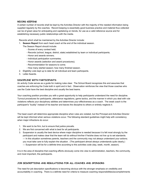### **RECORD KEEPING**

A certain number of records shall be kept by the Activities Director with the majority of the needed information being supplied regularly by the coaches. Record keeping is essentially good business practice and material thus collected can be of great value for anticipating and capitalizing on trends, for use as a valid reference source and for establishing necessary public relationships with the media.

Records which shall be maintained by the Activities Director include:

- 1. **Season Report** from each head coach at the end of the individual season.
	- The Season Report should include:
		- Scores of every contest held;
		- Records (school, league, district, state) established by team or individual participants;
		- Honor and awards winners;
		- Individual participation summaries;
		- Honor awards (selection and award procedures);
		- Recommendation for seasons to come;
		- How many started season; how many finished season.
- 2. Eligibility Lists kept up to date for all individual and team participants.
- 3. Letter Awards.

### **DISCIPLINE WITH PARTICIPANTS**

An activity Code serves as a guide for making rules clear. The School Board recognizes this and assumes that coaches are enforcing the Code both in spirit and in fact. Observation reinforces the view that those coaches who use the Code have the best discipline and usually the best teams.

Your coaching position provides you with a great opportunity to help participants understand the need for discipline. Turnout procedures for participants, attendance regulations, game tactics, and the manner in which you deal with rule violations reflects your disciplinary abilities and determines your effectiveness as a coach. The weak coach is the participant's "buddy" instead of his teacher and leaves the discipline to others or entirely neglects it.

The head coach will determine appropriate discipline when rules are violated, but the Principal and Activities Director will be kept informed when serious violations occur. The following standard guidelines might help with consistency when major infractions do occur.

- 1. We want to be firm, but to ensure that justice prevails.
- 2. We are first concerned with what is best for all participants.
- 3. Suspension is usually the best device where major discipline is needed because it is felt most strongly by the participant and makes clear that the team will do without him/her if he/she does not live up to set standards. — In this situation sometimes parents, teachers and the community may not always understand your actions; you must take care to fully explain the situation. (The participant almost always understands quite clearly.) — Suspension will be for a definite time according to this activities code (day, week, month, season).

It is in the area of discipline that coaching efforts obviously come into view to administration, teachers, the community, and most important, the participants.

### **JOB DESCRIPTIONS AND REGULATIONS FOR ALL COACHES AND SPONSORS**

The need for job description specifications is becoming obvious with the stronger emphasis on credibility and accountability in coaching. There is a definite need for criteria to measure coaching responsibilities/accomplishments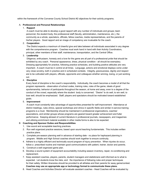within the framework of the Converse County School District #2 objectives for their activity programs.

### A. **Professional and Personal Relationships**

### 1. **Rapport**

A coach must be able to develop a good rapport with any number of individuals and groups; team personnel, the student body, the professional staff (faculty, administration, maintenance, etc.), the community as a whole, spectators, officials, fellow coaches, media representatives, and the parents of his/her players. Good rapport and an image of competency are invaluable for the coach.

### 2. **Cooperation**

The District expects a maximum of cheerful give and take between all individuals associated in any degree with the comprehensive program. Coaches must work hand in hand with their Activity Coordinators, principal, other members of their staff, maintenance, transportation, and the Central Office.

### 3. **Leadership**

Diligence, enthusiasm, honesty and a love for the game are all part of a professional pride that should be exhibited by any coach. Personal appearance, dress, physical condition - all should be exemplary. Dressing appropriately for practice, following practice schedules, and building positive attitudes are very important. A coach must be in control at all times. Language, actions and emotional displays come under very close scrutiny, both in practice and in scheduled contests. Integrity, graciousness, dignity and respect are to be cultivated with players, officials, opponents and colleagues whether winning, losing, or just working out.

### 4. **Discipline**

Every facet of discipline is the coach's responsibility. Individually, the coach becomes a model of all that the program represents - observation of school codes, training rules, rules of the game, ideals of good sportsmanship, behavior of participants throughout the season, at home and away, even to a degree of the conduct of the crowd, especially where the student body is concerned. "Desire" to do well, to win well, to lose well, should be emphasized. Staff, players and spectators should be motivated toward established goals.

### 5. **Improvement**

A coach must constantly take advantage of opportunities presented for self-improvement. Attendance at district meetings, rules clinics, special workshops and clinics in specific fields and similar in-service training programs is a must. Membership should be maintained in professional organizations, coaches' associations, and similar groups whose programs are geared toward greater achievement and fuller performance. Keeping abreast of current literature in professional journals, newspapers, and magazines and utilizing enrichment material available in other media forms is also to be expected.

### B **Coaching and Sponsor Duties and Responsibilities**

- 1. Use sound and acceptable teaching practices.
- 2. Run well organized practice sessions, based upon sound teaching fundamentals. This includes written practice plans.
- 3. Complete pre-season planning well in advance of starting date no place for haphazard planning in program. Middle and High School coaches should work together to ensure continuity.
- 4. Adhere to a highly efficient and technically sound program of injury prevention. When injuries do occur, follow a prescribed routine and maintain good communications with patient, trainer, doctor and parents.
- 5. Construct a well organized game plan.
- 6. Develop a sound system of equipment accountability including season inventory, repair, re-conditioning and replacement.
- 7. Keep assistant coaches, players, parents, student managers and statisticians well informed as to what is expected. Let students know the risks, and the importance of following rules and proper techniques for their safety. Written itineraries should be provided to all athletes and their parents for away game/contest. **Coaches may use an appropriate app or technology format to communicate these plans.**
- 8. Head Coaches and Activities Director will evaluate assistant coaches Head Coaches will be evaluated by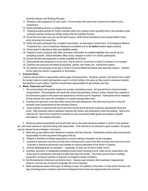Activities Director and Building Principal.

- 9. Develop a skill progression for your sport. Communicate with lower level coaches the outline of your progression.
- 10. Assist graduating seniors in college placement.
- 11. Keeping practice periods for his/her activities within the confines of the specified time in the Activities Code; schedule practice during any holiday period with the Activities Director.
- 12. Arrive first and make sure you are the last to leave. Verify that all participants have transportation home when returning from away trips.
- 13. Verify that each participant has a medical examination, an exemplary conduct form, an Emergency Medical Treatment form, and a Cautionary Statement completed and on file **before** he/she begins practice.
- 14. Check player's attendance daily and eligibility weekly.
- 15. Prepare a roster of players with other necessary information so certified eligibility lists may be sent to competing schools. Advise Activities Office of any changes in roster or in activity participants.
- 16. Ensure that first-aid equipment is readily available at all times.
- 17. Demonstrate how equipment is to be worn, how to care for it and how to hang it in lockers or on hangers.
- 18. Coaches and sponsors will attend all practices, games, and meets, etc., during their season.
- 19. All coaches and sponsors must sign a Code of Conduct Statement before they start their season. Violation of this code may result in suspension or termination.

### C. **Coaches Dress**

Coaches should dress in appropriate workout gear during practices. Students, parents, and faculty have a right for concern about a coach who teaches a sport in school clothes, the same as they would a classroom teacher that teaches in gym clothes. Coaches should dress appropriately for all contests and trips.

### D. **Meals, Expenses and Travel**

- 1. The school district will provide meals only at state culminating events. All trips will be by school-provided transportation. All participants will travel with school transportation unless a written request from parents to do otherwise is given to the coach and approved by him/her prior to departure. Participants will be released to their parents only upon the completion of a parent transportation form.
- 2. Coaches and sponsors must stay within travel and meal allowances, and upon returning from a trip will promptly report expenditures to the Activities Director.
- 3. Head coaches or sponsors will ride to and from events and at all times supervise participants during the event. After practices head or assistant coaches will remain until participants clear the building. Teams and coaches will return from all games or playoffs as soon as practical after games are played or playoff eliminations. (No staying overnight.)

4. School-provided transportation will be left clean and in the same physical condition in which it was checked out, with head coaches or sponsors being held responsible. If the vehicle is not returned in good condition, the group may be refused travel privileges in the future.

- 5. Meet with groups before each departure to explain the trip's itinerary. Participants should check and assume responsibility for their equipment throughout the trip.
- 6. Prepare a checklist of needed equipment to ensure nothing is forgotten by the managers.
- 7. Coaches or sponsors must be sure that each individual has a way home after arriving home from any event. Coaches or sponsors personally must release an injured participant to the doctor or parents.
- 8. Provide safekeeping for all valuables especially, so they are not left in locker rooms.
- 9. Coaches, sponsors, or designated assistants should check dressing rooms, hotel rooms, restaurants, and buses prior to participants entering and after they leave the facility. This helps prevent loss of clothing, equipment, and gives coaches or sponsors an insight to facility conditions.
- l0. Set the standards of behavior and hold to them. Impress upon students that rowdiness, inappropriate behavior, and the use of obscene language will not be tolerated.
- II. Make participants aware of the type of clothing to wear; the address of the hotel or motel where the team will stay (including phone number); exact time of departure from home and approximate time of return.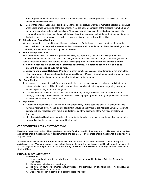Encourage students to inform their parents of these facts in case of emergencies. The Activities Director should have this information.

l2. **Use of Opponents' Dressing Facilities:** Coaches should discuss with team members appropriate conduct when using dressing facilities of the opponents. Note the general condition of the dressing room both upon arrival and departure to forestall vandalism. At times it may be necessary to hold a bag inspection after returning from a trip. Coaches should ask to have their dressing room locked during their team's absence. Following these procedures may save the school and district some unfavorable publicity.

### E. **Attendance at Rules Meetings**

When rules meetings are held for specific sports, all coaches for that sport are urged to attend the meeting. Head coaches will be responsible to see that their assistants are in attendance. Online rules meetings will be utilized by the WHSAA and will satisfy this requirement.

### F. **Practice-Days and Times**

Start and end on time. You will not improve any activity by jeopardizing relationships with parents and administrators by holding late practices. The less you disrupt the family dinner hour, the more apt you are to have a favorable reaction from parents towards activity programs. **Practices shall not exceed 3 hours.**

- 1. **Certified coaches will supervise all practices at all times. If a certified coach is not able to be present, the practice should not be held.**
- 2. **Sundays and Special Holidays:** Mandatory Sunday practice sessions of squad members are prohibited. Thanksgiving and Christmas should be treated as a Sunday. Practice during these extended vacations may be scheduled at the discretion of the coach with administration approval.

### G. **Game Rosters**

- 1. All coaches are requested to inform their team by the practice prior to an event, who will participate in the interscholastic contest. This information enables team members to inform parents regarding making an athletic trip or suiting up for a home game.
- 2. Coaches should always make clear to a team member any change in status, and the reasons for such change, especially if the individual has been used to suiting up for games. Both good public relations and maintenance of team morale are involved.

### H. **Equipment**

- 1. Coaches are responsible for the inventory in his/her activity. At the seasons' end, a list of students who have not returned all their checked-out equipment should be submitted to the Activities Director. Failure to comply with this regulation may result in budgetary cuts at the discretion of the Activities Director and Principal.
- 2. It is the Activities Director's responsibility to coordinate these lists and take action to see that equipment is returned or that the school is reimbursed for the cost.

### **JOB DESCRIPTION FOR ASSISTANT COACH**

Head coaches/sponsors should be a positive role model for all involved in their program. His/Her conduct at practice and games should model exemplary sportsmanship and behavior. His/Her dress should model what is expected from all participants.

Volunteer coaches/helpers **are not** permitted unless prior authorization has been received from the principal and activities director. Volunteer coaches must submit fingerprints for a Criminal Background Check through the state of WY. Arrangements for the process can be made through the Glenrock Police Dept. or through the Adm. Asst. at the Central Office.

### **PRIMARY RESPONSIBILITIES:**

### A. **Year Round**

- l. Understand and know the sport rules and regulations presented in the State Activities Association Handbook.
- 2. Be aware of all rules and rule changes.
- 3. Be aware of new developments, innovative ideas, and techniques by attending clinics, workshops, and reading material about your sport.
- 4. Assist head coach in carrying out assigned responsibilities.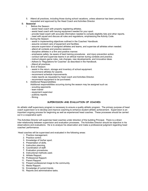5. Attend all practices, including those during school vacations, unless absence has been previously requested and approved by the Head Coach and Activities Director.

# B. **Seasonal**

- l. Before the Season:
	- assist head coach with properly registering athletes.
	- assist head coach with issuing equipment needed for your sport.
	- provide head coach with accurate information needed to compile eligibility lists and other reports.
	- meet with squad and discuss all rules and regulations, emphasizing the Activity Code.
- 2. During the Season:
	- assist in implementing objectives outlined in the Coaches' Handbook.
	- assume constant care of equipment and facilities.
	- assume supervision of assigned athletes and teams, and supervise all athletes when needed.
	- attend all contests and practice sessions.
	- discipline athletes in a firm and positive manner.
	- emphasize safety; be aware of best training procedures and injury prevention action.
	- conduct self and supervise teams in an ethical manner during contests and practice.
	- instruct players game rules, rule changes, new developments, and innovative ideas.
	- Adhere to "Regulations for Coaches" as described in the Handbook.
	- Attend all practices.
- 3. End of Season:
	- assist in the return, storage and inventory of school equipment.
	- recommend athletes for awards.
	- recommend schedule improvements.
	- make reports as requested by head coach and Activities Director.
	- recommend equipment to be purchased.
- 4. Additional Responsibilities:
	- Additional responsibilities occurring during the season may be assigned such as:
	- scouting opponents
	- team trainer
	- equipment supervisor
	- publicity reports
	- filming

### **SUPERVISION AND EVALUATION OF COACHES**

An athletic staff supervisory program is necessary to ensure a quality athletic program. The primary purpose of head coach supervision is to develop and improve coaching to enhance student athletic achievement. Supervision is an important ongoing process for beginning as well as experienced head coaches. These processes should be carried out in a cooperative spirit.

The Activities Director will supervise head coaches under direction of the building Principal. There is a direct inter-relationship between supervision and evaluation processes. The Activities Director should be objective in his observations and evaluations. He is to analyze his observation and make a professional judgment regarding head coaches' performance.

Head coaches will be supervised and evaluated in the following areas:

- l. Practice management.
- 2. Practice control.
- 3. Knowledge of his/her sport.
- 4. Presentation of skills.
- 5. Instruction planning.
- 6. Coordination of staff.
- 7. Evaluation procedures.
- 8. Instructional methods used.
- 9. Athlete Rapport.
- 10. Professional Rapport.
- 11. Parent Rapport.
- 12. Present professional image to the community.
- 13. Media Rapport.
- 14. Knowledge of current trends.
- 15. Reports and administrative tasks.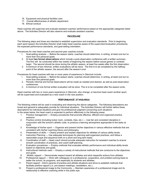- 16. Equipment and physical facilities care.
- 17. Overall effectiveness of athletic department.
- 18. Ethical conduct.

Head coaches will supervise and evaluate assistant coaches' performance based on the appropriate categories listed above. The Activities Director will also observe and evaluate assistant coaches.

### **PROCEDURE**

The following steps and times are intended to establish supervision and evaluation standards. Prior to beginning each sport season the Activities Director shall make head coaches aware of the supervision/evaluation procedures, the expected performance standards, and goal-setting orientation.

Procedures for new head coaches and second-year coaches include:

- l. Goal-setting analysis Before the season starts, coaches should determine, in writing, at least one but no more than five personal goals.
- 2. At least **two formal observations** which include a post-observation conference with a written summary. The first will be conducted within two weeks of beginning the season before actual games or contests begin. The second should be done during the athletic season, at least five weeks after the first observation.
- 3. A minimum of two informal, written evaluations will be done. The first is to be completed by the halfway point of the athletic season, the second after the season's end.

Procedures for head coaches with two or more years of experience in Glenrock include:

- l. Goal-setting analysis Before the season starts, coaches should determine, in writing, at least one but no more than five personal goals.
- 2. Periodic informal and formal observations will be made as needed and desired, as well as post-observation conferences.
- 3. A minimum of one formal written evaluation will be done. This is to be completed after the season ends.

Head coaches with two or more years experience in Glenrock, who change, or become head coach another sport, will be supervised and evaluated as a new coach in the new position.

### **PERFORMANCE STANDARDS**

The following criteria will be used in evaluating and observing the above categories. The following descriptions are broad and general to adequately provide for individual situations. The Activities Director will further define these descriptions for individual situations and give his professional judgment concerning such situations. In the areas below, the head coach is expected to perform effectively in the following areas:

- 1. Practice management Employ procedures that promote effective, efficient and organized practice sessions.
- 2. Practice control (including locker room, contests, trips, etc.) Use fair and consistent discipline in conjunction with the school's athletic code, to produce a learning atmosphere appropriate to the tasks at hand.
- 3. Knowledge of his/her sport Organize and present his/her objectives in various effective methods that are consistent with his/her coaching theory and philosophy.
- 4. Presentation of skills Clearly present and explain objectives for athletes of various ability levels.
- 5. Instruction Planning Use adequate techniques for planning well-organized practices, and follow a reasonable scope and sequence both on a short and long term basis.
- 6. Coordination of staff Head coach should provide adequate instruction for assistant coaches to ensure smooth coordination of practices, and coach-staff planning.
- 7. Evaluation procedures Employ methods that evaluates athletic performance and individual ability levels based on objectives and goals.
- 8. Instructional methods used Employ a variety of instructional methods that are conducive to the objectives and goals.
- 9. Athletic rapport Demonstrate respect toward all athletes and elicit respectful actions from athletes.
- 10. Professional rapport Work with colleagues on a professional, cooperative, and problem-solving basis to better the school, its programs, and especially its students and athletes.
- 11. Parent rapport Inform parents of practice and athlete situations and strive to establish methods that facilitate positive rapport (i.e. pre-season meetings, newsletters, etc.).
- 12. Present a professional image to the Community Maintain awareness of a professional image and its relationship to effective coaching while in the public eye.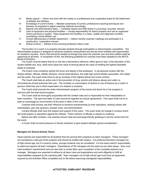- 13. Media rapport Inform and work with the media on a professional and cooperative basis for the betterment of athletes and athletics.
- 14. Knowledge of current trends Maintain awareness of current, professional coaching techniques and theories; be prepared to adjust coaching methods accordingly.
- 15. Reports and administrative tasks Complete reports and fulfill duties in a punctual, accurate, manner.
- 16. Care of equipment and physical facilities Accept responsibility for district property and use an organized check-out/check-in system. Keep equipment and facilities in a clean, usable and organized condition considering normal athletic use.
- 17. Overall effectiveness of athletic department Attend monthly coaches' meetings and participate in a constructive, cooperative manner.
- 18. Ethical conduct Adhere to the coaching profession ethics code.

The function of a coach is to properly educate students through participation in interscholastic competition. The interscholastic program is designed to enhance academic achievement and should never interfere with opportunities for academic success. Each child should be treated as though they were the coaches' own and their welfare shall be uppermost at all times. In recognition of this, the following guidelines for coaches have been adopted by the NFICA Board of Directors.

The Coach must be aware that he or she has a tremendous influence, either good or bad, in the education of the student athlete and, thus, shall never place the value of winning above the value of instilling the highest desirable ideals of character.

The Coach must constantly uphold the honor and dignity of the profession. In all personal contact with the student athlete, officials, athletic directors, school administrators, the state high school athletic association, the media, and the public, the coach shall strive to set an example of the highest ethical and moral conduct.

The Coach shall take an active role in the prevention of drug, alcohol and tobacco abuse and under no circumstances should authorize their use. This includes no consumption of alcohol or use of tobacco by a coach or sponsor while they are in direct supervision of a student or students.

The Coach shall promote the entire interscholastic program of the school and direct his or her program in harmony with the total school program.

The Coach shall be thoroughly acquainted with the contest rules and is responsible for their interpretation to team members. The spirit and letter of rules should be regarded as mutual agreements. The coach shall not try to seek an advantage by circumvention of the spirit or letter of the rules.

Coaches shall actively use their influence to enhance sportsmanship by their spectators, working closely with cheerleaders, pep club sponsors, booster clubs, and administrators.

Contest officials shall have the respect and support of the coach. The coach shall not indulge in conduct which will incite players or spectators against the officials. Public criticism of officials or players is unethical.

Before and after contests, rival coaches should meet and exchange friendly greetings to set the correct tone for the event.

A Coach shall not exert pressure on faculty members' to give student athletes special consideration.

### **Managers for School Activity Teams**

Head coaches are responsible for all students that are serving their programs as team managers. These managers are considered a vital part of the program and should be treated with respect. It is preferred that team managers be of high school age, but if a vacancy exists, younger students may be considered. It is the head coach's' responsibility to select and appoint all team managers. Expectations of HS managers are the same as any other player: they must meet academic requirements and can also earn a varsity letter upon completion of two complete seasons as a manager. Managers are expected to adhere to all team rules and expectations and work diligently to fulfill all responsibilities assigned by the coaching staff. Team managers not of high school age must have all paperwork required by the Activities Office completed and on file before assuming managerial responsibilities.

### **ACTIVITIES COMPLAINT PROCEDURE**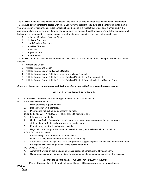The following is the activities complaint procedure to follow with all problems that arise with coaches. Remember, care enough to first contact the person with whom you have the problem. You owe it to the individual to tell them if you are going over his/her head. Initial contacts should be done in a respectful, professional manner, and in the appropriate place and time. Consideration should be given for rational thought to occur. A mediated conference will be held when requested by a coach, sponsor, parent or student. Procedures for this conference follows:

- 1. Volunteer Coaches Coaches Aides
- 2. Assistant Coaches
- 3. Head Coaches, Sponsors
- 4. Activities Directors
- 5. Principals
- 6. Superintendent
- 7. School Board

The following is the activities complaint procedure to follow with all problems that arise with participants, parents and coaches

- 1. Athlete and Coach
- 2. Athlete, Parent, and Coach
- 3. Athlete, Parent, Coach, and Athletic Director
- 4. Athlete, Parent, Coach, Athletic Director, and Building Principal
- 5. Athlete, Parent, Coach, Athletic Director, Building Principal, and Superintendent
- 6. Athlete, Parent, Coach, Athletic Director, Building Principal, Superintendent, and School Board.

### **Coaches, players, and parents must wait 24 hours after a contest before approaching one another.**

### **MEDIATED CONFERENCE PROCEDURES**

- A. PURPOSE: To resolve conflicts through the use of better communication.
- B. PROCESS PREPARATION
	- 1. Party or parties request meeting.
	- 2. Basic information is gathered.
	- 3. Pre-meeting with school personnel may be held.
	- CONFERENCE WITH A MEDIATOR FROM THE SCHOOL DISTRICT
	- 1. Informal and confidential
	- 2. Conference Style: Each party presents views and hears opposing arguments. No derogatory statements or profanity is allowed when presenting views.
	- 3. Mediator may meet with each party privately.
	- 4. Negotiation and compromise, communication improved, emphasis on child and solutions.
	- ROLE OF THE MEDIATOR
	- 1. Impartial negotiator, facilitator of communication.
	- 2. Guides process, maintains order of conference informally.
	- 3. Attempts to soothe feelings, find areas of agreement, suggests options and possible compromise; does not impose own views on parties or make decisions for them.

OUTCOME OF PROCESS

- 1. Agreement, written by the mediator, expressing ideas of parties, signed by each party.
- 2. Signature indicates willingness to abide by agreement, stake in outcome, commitment to success.

### **GUIDELINES FOR CLUB - SCHOOL MONETARY FUNDING**

(Payment by school district for national competition(s) will be on a yearly, as determined basis)

# **FCCLA**

**Dues**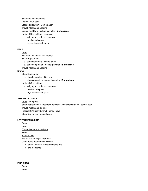State and National dues District - club pays State Registration - Combination Travel, Meals and Lodging

District and State - school pays for **15 attendees**

National Competition - club pays

- a. lodging and airfare club pays
- b. meals club pays
- c. registration club pays

# **FBLA**

### Dues

State and National - school pays

State Registration

- a. state leadership school pays
- b. state competition school pays for **15 attendees**

Travel, Meals and Lodging

### Drama

State Registration

- a. state leadership kids pay
- b. state competition school pays for **15 attendees**

National Competition

- a. lodging and airfare club pays
- b. meals club pays
- c. registration club pays

### **STUDENT COUNCIL**

Dues - club pays State Registration & President/Advisor Summit Registration - school pays Travel, meals and lodging President/Advisor Summit - school pays State Convention - school pays

### **LETTERMEN'S CLUB**

**Dues** None Travel, Meals and Lodging None **Other Costs** Pay for Senior Night expenses Other items needed by activities

- a. letters, awards, jacket emblems, etc.
- b. awards nights

**FINE ARTS** Dues None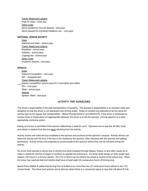Travel, Meals and Lodging

Trips for plays - clubs pay **Other Costs** Items needed for Fine Art Awards - club pays Items needed for individual initiations, etc. - club pays

### **NATIONAL HONOR SOCIETY**

### **Dues**

National and State - school pays Travel, Meals and Lodging Breakfast - school pays Initiation - school pays Capping tea - school pays **Other Costs** Academic Awards - club pays

### **SPEECH**

Dues National Competition - club pays NFL - budgeted item Travel, Meals and Lodging Season competition (school pays for 4 overnights plus state) NFL - club pays State - school pays **Awards** Speech Meet - club pays

### **ACTIVITY TRIP GUIDELINES**

The driver's responsibility is the safe transportation of students. The sponsor's responsibility is to maintain order and discipline so that the driver is not distracted from driving duties. Rules of conduct are expected to be the same for activity trips as for regular bus transportation. (Board Policies EEACC and EEACC-R) If the driver is distracted by excess noise or observation of inappropriate behavior, the driver is to tell the sponsor, and the sponsor is to take appropriate corrective action.

Eating on the bus is permitted if the sponsor determines a need for such. Sponsors are to see that all litter, trash, and refuse is cleared from the bus upon returning from the activity.

Activity drivers will make the bus available to the sponsor and students at the sponsor's request. Activity drivers can leave the activity with the bus, if the bus is not needed by the sponsor, after checking with the sponsor and getting permission. Activity drivers are expected to communicate to the sponsor where they can be reached during the activity.

No driver shall operate a school bus or activity bus while impaired through fatigue, illness, or any other cause as to make it unsafe for him/her to begin or continue to operate the school bus. No driver shall remain on duty longer than sixteen (16) hours in a 24 hour period. Ten (10) of which can be behind the wheel in control of the school bus. When the driver has reached that limit he/she shall have at least eight (8) consecutive hours off driving duty.

Board Policy EEBA-R states that driving time is limited to no more than two (2) continuous hours without a ten (10) minute break. The driver and sponsor are to discuss where there is a convenient place to stop that will about fit into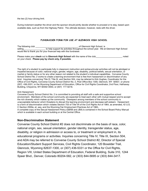the two (2) hour driving limit.

During inclement weather the driver and the sponsor should jointly decide whether to proceed or to stay, based upon available data, such as from the Highway Patrol. The ultimate decision, however, rests with the driver.

### **FUNDRAISER FORM FOR USE AT GLENROCK HIGH SCHOOL**

The following club \_\_\_\_\_\_\_\_\_\_\_\_\_\_\_\_\_\_\_\_\_\_\_\_\_\_\_\_\_\_\_\_\_\_\_, of Glenrock High School, is selling\_\_\_\_\_\_\_\_\_\_\_\_\_\_\_\_\_\_\_ to help support its activities throughout the school year. We at Glenrock High School would like to thank you for your financial help with this fundraiser.

Please make your **check** out to **Glenrock High School** with the name of the club\_\_\_\_\_\_\_\_\_\_\_\_\_\_\_\_\_\_\_\_\_\_ noted on your check. **Please pay by check only, if possible.**

The right of a student to participate fully in classroom instruction and extracurricular activities will not be abridged or impaired because of color, national origin, gender, religion, age, disability, political beliefs, sexual orientation, or marital or family status or for any other reason not related to the student's individual capabilities. Converse County School District No. 2 works to create a learning environment that is free from harassment or discrimination of any kind. Inquiries concerning Title VI, Title IX, and Section 504, may be referred to Kirk Hughes, Coordinator for the Office of Civil Rights, Converse County School District No. 2, Post Office Box 1300, Glenrock, WY 82637, or phone (307) 436-5331, or the Wyoming Department of Education, Office for Civil Rights Coordinator, 2nd Floor, Hathaway Building, Cheyenne, WY 82002-0050, or (307) 777-6218.

### Anti-Harassment

Converse County School District No. 2 is committed to providing all staff with a safe and supportive school environment. Members of the school community are expected to treat each other with mutual respect and to accept the rich diversity which makes up the community. Disrespect among members of the school community is unacceptable behavior which threatens to disrupt the learning environment and decrease self-esteem. Harassment is a form of discrimination which violates Section 703 of Title VII of the Civil Rights Act of 1964, as amended, 42 U.S. C Section 2000e, et. seq. and the Wyoming Fair Employment Practices Act of 1965..

A complete copy of the Sexual Harassment Policy (GBAB and JBA) is contained in the School Board Policy Manual which is available in each school building or at the Central Office.

# **Non-Discrimination Statement**

Converse County School District #2 does not discriminate on the basis of race, color, national origin, sex, sexual orientation, gender identity, transgender status, age, disability, or religion in admission or access to, or treatment or employment in, its educational programs or activities. Inquiries concerning Title IV, Title IX, Section 504, and ADA may be referred to Converse County School District #2, Director of Special Education/Student Support Services, Civil Rights Coordinator, 120 Boxelder Trail, Glenrock, Wyoming 82637-1300, or (307) 436-5331 or the Office for Civil Rights, Region VIII, United States Department of Education, Federal Building, Suite 310, 1244 Speer Blvd., Denver, Colorado 80204-582, or (303) 844-5695 or (303) 844-3417.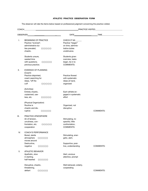### **ATHLETIC PRACTICE OBSERVATION FORM**

The observer will rate the items below based on professional judgment concerning the practice visited.

| COACH |                                                                                                                                      |                                                                                                                                                                                                                                |                  |  |
|-------|--------------------------------------------------------------------------------------------------------------------------------------|--------------------------------------------------------------------------------------------------------------------------------------------------------------------------------------------------------------------------------|------------------|--|
|       | OBSERVER                                                                                                                             | $DATE$ and $T$ and $T$ and $T$ and $T$ and $T$ and $T$ and $T$ and $T$ and $T$ and $T$ and $T$ and $T$ and $T$ and $T$ and $T$ and $T$ and $T$ and $T$ and $T$ and $T$ and $T$ and $T$ and $T$ and $T$ and $T$ and $T$ and $T$ | TIME             |  |
| Τ.    | <b>BEGINNING OF PRACTICE</b><br>Practice "evolved",<br>administrative du-<br>() () () ()<br>ties prevaled,<br>chaotic.               | CHECK IF NA<br>Practice "began"<br>on time, adminis-<br>trative duties<br>unobtrusive.                                                                                                                                         |                  |  |
|       | Students unsure,<br>wasted time<br>with questions.<br>()()()()()<br>previous practice.                                               | Students given<br>overview, tasks<br>begin, tie in to<br><b>COMMENTS:</b>                                                                                                                                                      |                  |  |
| Ш.    | EVIDENCE OF PLANNING<br>(Coach)<br>Practice disjointed,<br>coach searching for<br>ideas, "off the<br>cuff<br>() () () ()             | Practice flowed<br>with systematic<br>ideas at hand,<br>organized                                                                                                                                                              |                  |  |
|       | (Activities)<br>Entirely chaotic,<br>unplanned, use-<br>less, etc.<br>() () () ()<br>(Physical Organization)                         | Each athlete en-<br>gaged in systematic<br>effort                                                                                                                                                                              |                  |  |
|       | Routine is<br>chaotic and dis-<br>() () () ()<br>ruptive                                                                             | Organized, not<br>disruptive                                                                                                                                                                                                   | COMMENTS:        |  |
| III.  | PRACTICE ATMOSPHERE<br>Air of tension,<br>unruliness, con-<br>frontation, etc.<br>() () () ()<br>cooperation                         | Stimulating, re-<br>spectful, little<br>confrontation,<br>COMMENTS:                                                                                                                                                            |                  |  |
| IV.   | <b>COACH'S PERFORMANCE</b><br>Bored, sterile<br>() () () ()<br>atmosphere<br>moves around<br>Destructive,<br>() () () ()<br>negative | Stimulating, ener-<br>getic, alert,<br>Supportive, posi-<br>tive, understanding                                                                                                                                                | <b>COMMENTS:</b> |  |
| V.    | ATHLETIC BEHAVIOR<br>Apathetic, slow<br>in starting,<br>half-hearted<br>() () () ()                                                  | Alert, anxious<br>attentive, prompt                                                                                                                                                                                            |                  |  |
|       | Disruptive, chaotic,<br>threatening,<br>defiant<br>() () () ()                                                                       | Well-behaved, orderly,<br>cooperating                                                                                                                                                                                          | COMMENTS:        |  |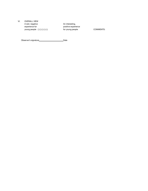VI. OVERALL VIEW A dull, negative An interesting, experience for positive experience young people ( ) ( ) ( ) ( ) ( ) ( ) for young people COMMENTS:

Observer's signature\_\_\_\_\_\_\_\_\_\_\_\_\_\_\_\_\_\_\_\_\_\_\_\_\_\_\_\_\_\_\_\_Date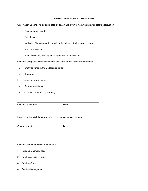### **FORMAL PRACTICE VISITATION FORM**

Observation Briefing—to be completed by coach and given to Activities Director before observation:

Practice to be visited:

Objectives:

Methods of implementation: (explanation, demonstration, groups, etc.)

Practice schedule:

Special coaching techniques that you wish to be observed:

Observer completes all but last section prior to or during follow-up conference.

- I. Briefly summarize the visitation situation:
- II. Strengths:
- III. Areas for Improvement:
- IV. Recommendations:
- V. Coach's Comments: (if desired)

Observer's signature **Date** 

 $\overline{\phantom{a}}$  , and the contract of the contract of the contract of the contract of the contract of the contract of the contract of the contract of the contract of the contract of the contract of the contract of the contrac

I have seen this visitation report and it has been discussed with me

\_

Coach's signature Date

Observer should comment in each area:

- 1. Personal Characteristics
- 2. Practice Activities (variety)
- 3. Practice Control
- 4. Practice Management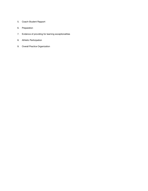- 5. Coach-Student Rapport
- 6. Preparation
- 7. Evidence of providing for learning exceptionalities
- 8. Athletic Participation
- 9. Overall Practice Organization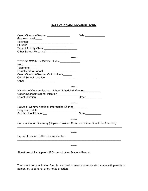# **PARENT COMMUNICATION FORM**

| Coach/Sponsor/Teacher:__________________                                     |                    |
|------------------------------------------------------------------------------|--------------------|
| Grade or Level:_____                                                         |                    |
|                                                                              |                    |
|                                                                              |                    |
| Type of Activity/Class: [1995] Type of Activity/Class:                       |                    |
| Other School Personnel: ________________                                     |                    |
|                                                                              |                    |
|                                                                              | ******             |
| TYPE OF COMMUNICATION: Letter____________                                    |                    |
| Note_______________                                                          |                    |
| Telephone______                                                              |                    |
| Parent Visit to School <b>Parent Visit to School</b>                         |                    |
| Coach/Sponsor/Teacher Visit to Home_______                                   |                    |
|                                                                              |                    |
|                                                                              |                    |
|                                                                              |                    |
|                                                                              | ******             |
| Initiation of Communication: School Scheduled Meeting__________              |                    |
| Coach/Sponsor/Teacher Initiation_________________                            |                    |
| Parent Initiation______                                                      | Other_____________ |
|                                                                              |                    |
|                                                                              | ******             |
| Nature of Communication: Information Sharing _________                       |                    |
|                                                                              |                    |
| Problem Identification                                                       |                    |
|                                                                              |                    |
|                                                                              | ******             |
| Communication Summary (Copies of Written Communications Should be Attached): |                    |
|                                                                              |                    |
|                                                                              | ******             |
| <b>Expectations for Further Communication:</b>                               |                    |
|                                                                              |                    |
|                                                                              |                    |
|                                                                              | ******             |
|                                                                              |                    |
| Signatures of Participants (If Communication Made in Person):                |                    |
|                                                                              |                    |
|                                                                              |                    |
|                                                                              |                    |

The parent communication form is used to document communication made with parents in person, by telephone, or by notes or letters.